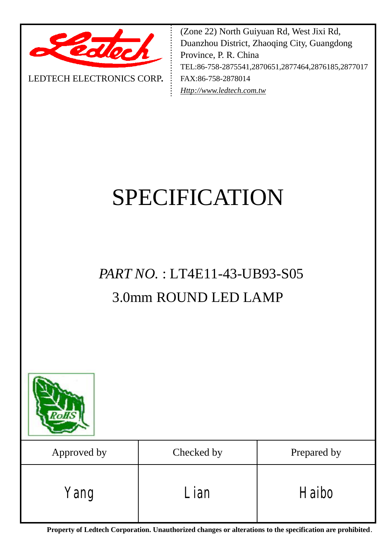

LEDTECH ELECTRONICS CORP**.**

(Zone 22) North Guiyuan Rd, West Jixi Rd, Duanzhou District, Zhaoqing City, Guangdong Province, P. R. China TEL:86-758-2875541,2870651,2877464,2876185,2877017 FAX:86-758-2878014 *[Http://www.ledtech.com.tw](http://www.ledtech.com.tw)*

# SPECIFICATION

# *PART NO.* : LT4E11-43-UB93-S05 3.0mm ROUND LED LAMP



| Approved by | Checked by | Prepared by |  |  |
|-------------|------------|-------------|--|--|
| Yang        | Lian       | Haibo       |  |  |

**Property of Ledtech Corporation. Unauthorized changes or alterations to the specification are prohibited***.*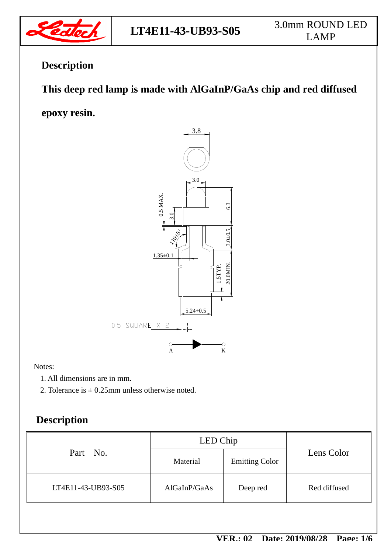

# **Description**

# **This deep red lamp is made with AlGaInP/GaAs chip and red diffused**

**epoxy resin.**



Notes:

- 1. All dimensions are in mm.
- 2. Tolerance is  $\pm$  0.25mm unless otherwise noted.

# **Description**

| Part No.           | LED Chip     |                       |              |  |
|--------------------|--------------|-----------------------|--------------|--|
|                    | Material     | <b>Emitting Color</b> | Lens Color   |  |
| LT4E11-43-UB93-S05 | AlGaInP/GaAs | Deep red              | Red diffused |  |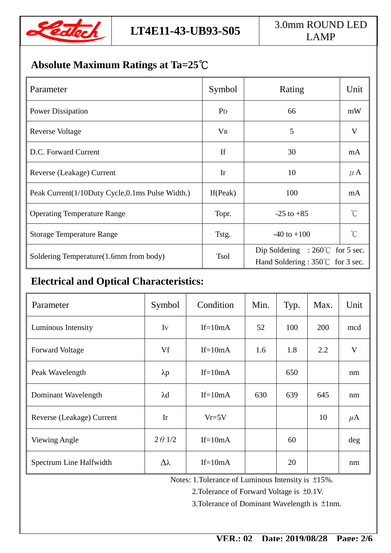

# **LT4E11-43-UB93-S05** 3.0mm ROUND LED LAMP

# **Absolute Maximum Ratings at Ta=25℃**

| Parameter                                       | Symbol         | Rating                                                                        | Unit                |
|-------------------------------------------------|----------------|-------------------------------------------------------------------------------|---------------------|
| <b>Power Dissipation</b>                        | P <sub>D</sub> | 66                                                                            | mW                  |
| Reverse Voltage                                 | <b>VR</b>      | 5                                                                             | V                   |
| D.C. Forward Current                            | If             | 30                                                                            | mA                  |
| Reverse (Leakage) Current                       | Ir             | 10                                                                            | $\mu$ A             |
| Peak Current(1/10Duty Cycle,0.1ms Pulse Width.) | If $(Peak)$    | 100                                                                           | mA                  |
| <b>Operating Temperature Range</b>              | Topr.          | $-25$ to $+85$                                                                | $\int_{0}^{\infty}$ |
| <b>Storage Temperature Range</b>                | Tstg.          | $-40$ to $+100$                                                               | $\gamma$            |
| Soldering Temperature(1.6mm from body)          | <b>Tsol</b>    | Dip Soldering : $260^{\circ}$ for 5 sec.<br>Hand Soldering : 350°C for 3 sec. |                     |

# **Electrical and Optical Characteristics:**

| Parameter                 | Symbol          | Condition | Min. | Typ. | Max. | Unit    |
|---------------------------|-----------------|-----------|------|------|------|---------|
| Luminous Intensity        | Iv              | $If=10mA$ | 52   | 100  | 200  | mcd     |
| <b>Forward Voltage</b>    | Vf              | $If=10mA$ | 1.6  | 1.8  | 2.2  | V       |
| Peak Wavelength           | $\lambda p$     | $If=10mA$ |      | 650  |      | nm      |
| Dominant Wavelength       | $\lambda$ d     | $If=10mA$ | 630  | 639  | 645  | nm      |
| Reverse (Leakage) Current | Ir              | $Vr=5V$   |      |      | 10   | $\mu$ A |
| Viewing Angle             | $2 \theta$ 1/2  | $If=10mA$ |      | 60   |      | deg     |
| Spectrum Line Halfwidth   | $\Delta\lambda$ | $If=10mA$ |      | 20   |      | nm      |

Notes: 1.Tolerance of Luminous Intensity is ±15%.

2.Tolerance of Forward Voltage is ±0.1V.

3.Tolerance of Dominant Wavelength is ±1nm.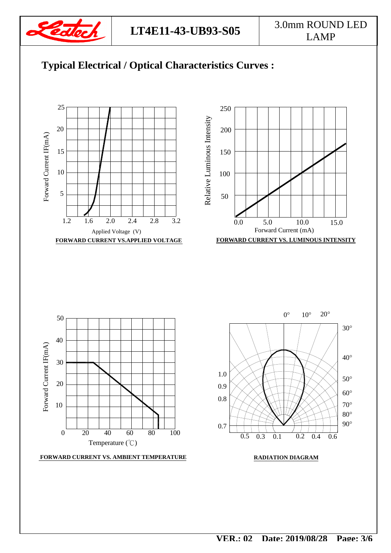

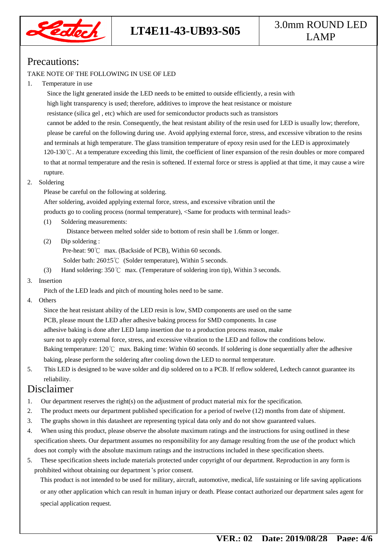

# **LT4E11-43-UB93-S05** 3.0mm ROUND LED LAMP

## Precautions:

#### TAKE NOTE OF THE FOLLOWING IN USE OF LED

#### 1. Temperature in use

 Since the light generated inside the LED needs to be emitted to outside efficiently, a resin with high light transparency is used; therefore, additives to improve the heat resistance or moisture resistance (silica gel , etc) which are used for semiconductor products such as transistors cannot be added to the resin. Consequently, the heat resistant ability of the resin used for LED is usually low; therefore, please be careful on the following during use. Avoid applying external force, stress, and excessive vibration to the resins and terminals at high temperature. The glass transition temperature of epoxy resin used for the LED is approximately 120-130℃. At a temperature exceeding this limit, the coefficient of liner expansion of the resin doubles or more compared to that at normal temperature and the resin is softened. If external force or stress is applied at that time, it may cause a wire rupture.

### 2. Soldering

Please be careful on the following at soldering.

After soldering, avoided applying external force, stress, and excessive vibration until the

products go to cooling process (normal temperature), <Same for products with terminal leads>

(1) Soldering measurements:

Distance between melted solder side to bottom of resin shall be 1.6mm or longer.

(2) Dip soldering :

Pre-heat: 90℃ max. (Backside of PCB), Within 60 seconds.

Solder bath: 260±5℃ (Solder temperature), Within 5 seconds.

(3) Hand soldering: 350℃ max. (Temperature of soldering iron tip), Within 3 seconds.

#### 3. Insertion

Pitch of the LED leads and pitch of mounting holes need to be same.

4. Others

 Since the heat resistant ability of the LED resin is low, SMD components are used on the same PCB, please mount the LED after adhesive baking process for SMD components. In case adhesive baking is done after LED lamp insertion due to a production process reason, make sure not to apply external force, stress, and excessive vibration to the LED and follow the conditions below. Baking temperature: 120℃ max. Baking time: Within 60 seconds. If soldering is done sequentially after the adhesive baking, please perform the soldering after cooling down the LED to normal temperature.

5. This LED is designed to be wave solder and dip soldered on to a PCB. If reflow soldered, Ledtech cannot guarantee its reliability.

### Disclaimer

- 1. Our department reserves the right(s) on the adjustment of product material mix for the specification.
- 2. The product meets our department published specification for a period of twelve (12) months from date of shipment.
- 3. The graphs shown in this datasheet are representing typical data only and do not show guaranteed values.
- 4. When using this product, please observe the absolute maximum ratings and the instructions for using outlined in these specification sheets. Our department assumes no responsibility for any damage resulting from the use of the product which does not comply with the absolute maximum ratings and the instructions included in these specification sheets.
- 5. These specification sheets include materials protected under copyright of our department. Reproduction in any form is prohibited without obtaining our department's prior consent.

This product is not intended to be used for military, aircraft, automotive, medical, life sustaining or life saving applications or any other application which can result in human injury or death. Please contact authorized our department sales agent for special application request.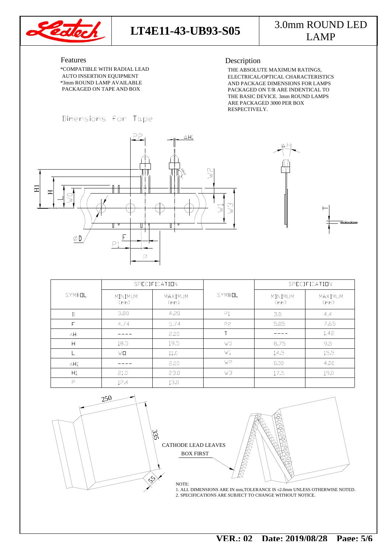

## **LT4E11-43-UB93-S05** 3.0mm ROUND LED LAMP

#### Features

 PACKAGED ON TAPE AND BOX \*3mm ROUND LAMP AVAILABLE AUTO INSERTION EQUIPMENT \*COMPATIBLE WITH RADIAL LEAD

#### Description

 ARE PACKAGED 3000 PER BOX RESPECTIVELY. THE ABSOLUTE MAXIMUM RATINGS, THE BASIC DEVICE. 3mm ROUND LAMPS PACKAGED ON T/R ARE INDENTICAL TO AND PACKAGE DIMENSIONS FOR LAMPS ELECTRICAL/OPTICAL CHARACTERISTICS





|                | SPECIFICATION   |                 |                | SPECIFICATION   |                 |  |
|----------------|-----------------|-----------------|----------------|-----------------|-----------------|--|
| SYMBOL         | MINIMUM<br>(mm) | MAXIMUM<br>(mm) | SYMBOL         | MINIMUM<br>(mm) | MAXIMUM<br>(mm) |  |
| $\mathbb{D}$   | 3.80            | 4.20            | P <sub>1</sub> | 3.0             | 4.4             |  |
| Е              | 4.74            | 5.74            | P <sub>2</sub> | 5.05            | 7.65            |  |
| $\Delta H$     |                 | 2.00            |                |                 | 1.42            |  |
| H              | 18.5            | 19.5            | W0             | 8.75            | 9.5             |  |
|                | WП              | 11.0            | W1             | 14.5            | 15.5            |  |
| $\triangle H1$ |                 | 2.00            | W2             | 0.00            | 4.00            |  |
| H1             | 21.0            | 23.0            | WЗ             | 17.5            | 19.0            |  |
| P              | 12.4            | 13.0            |                |                 |                 |  |



CATHODE LEAD LEAVES BOX FIRST

2. SPECIFICATIONS ARE SUBJECT TO CHANGE WITHOUT NOTICE. 1. ALL DIMENSIONS ARE IN mm,TOLERANCE IS ±2.0mm UNLESS OTHERWISE NOTED.